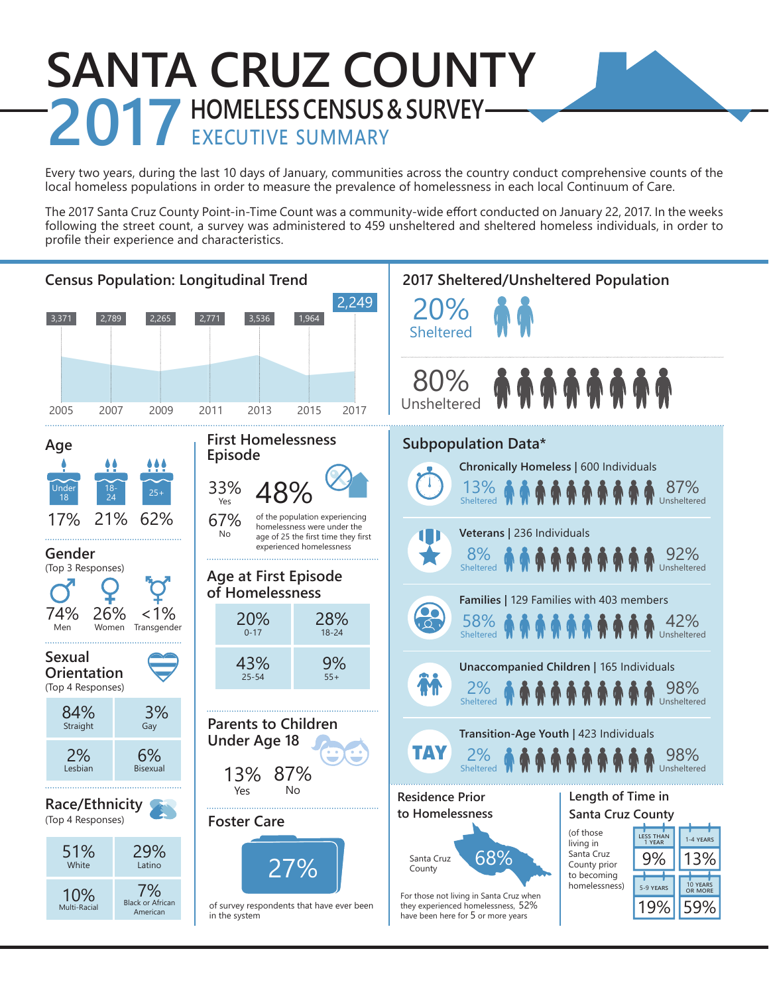# **SANTA CRUZ COUNTY 2017 HOMELESS CENSUS & SURVEY—**

Every two years, during the last 10 days of January, communities across the country conduct comprehensive counts of the local homeless populations in order to measure the prevalence of homelessness in each local Continuum of Care.

The 2017 Santa Cruz County Point-in-Time Count was a community-wide effort conducted on January 22, 2017. In the weeks following the street count, a survey was administered to 459 unsheltered and sheltered homeless individuals, in order to profile their experience and characteristics.